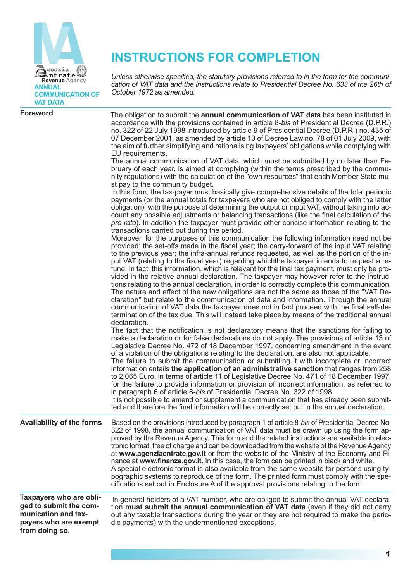

# **INSTRUCTIONS FOR COMPLETION**

*Unless otherwise specified, the statutory provisions referred to in the form for the communication of VAT data and the instructions relate to Presidential Decree No. 633 of the 26th of October 1972 as amended.*

| <b>Foreword</b>                                                                                                     | The obligation to submit the annual communication of VAT data has been instituted in<br>accordance with the provisions contained in article 8-bis of Presidential Decree (D.P.R.)<br>no. 322 of 22 July 1998 introduced by article 9 of Presidential Decree (D.P.R.) no. 435 of<br>07 December 2001, as amended by article 10 of Decree Law no. 78 of 01 July 2009, with<br>the aim of further simplifying and rationalising taxpayers' obligations while complying with<br>EU requirements.<br>The annual communication of VAT data, which must be submitted by no later than Fe-<br>bruary of each year, is aimed at complying (within the terms prescribed by the commu-<br>nity regulations) with the calculation of the "own resources" that each Member State mu-<br>st pay to the community budget.<br>In this form, the tax-payer must basically give comprehensive details of the total periodic<br>payments (or the annual totals for taxpayers who are not obliged to comply with the latter<br>obligation), with the purpose of determining the output or input VAT, without taking into ac-<br>count any possible adjustments or balancing transactions (like the final calculation of the<br>pro rata). In addition the taxpayer must provide other concise information relating to the<br>transactions carried out during the period.<br>Moreover, for the purposes of this communication the following information need not be<br>provided: the set-offs made in the fiscal year; the carry-forward of the input VAT relating<br>to the previous year; the infra-annual refunds requested, as well as the portion of the in-<br>put VAT (relating to the fiscal year) regarding whichthe taxpayer intends to request a re-<br>fund. In fact, this information, which is relevant for the final tax payment, must only be pro-<br>vided in the relative annual declaration. The taxpayer may however refer to the instruc-<br>tions relating to the annual declaration, in order to correctly complete this communication.<br>The nature and effect of the new obligations are not the same as those of the "VAT De-<br>claration" but relate to the communication of data and information. Through the annual<br>communication of VAT data the taxpayer does not in fact proceed with the final self-de-<br>termination of the tax due. This will instead take place by means of the traditional annual<br>declaration.<br>The fact that the notification is not declaratory means that the sanctions for failing to<br>make a declaration or for false declarations do not apply. The provisions of article 13 of<br>Legislative Decree No. 472 of 18 December 1997, concerning amendment in the event<br>of a violation of the obligations relating to the declaration, are also not applicable.<br>The failure to submit the communication or submitting it with incomplete or incorrect<br>information entails the application of an administrative sanction that ranges from 258<br>to 2,065 Euro, in terms of article 11 of Legislative Decree No. 471 of 18 December 1997,<br>for the failure to provide information or provision of incorrect information, as referred to<br>in paragraph 6 of article 8-bis of Presidential Decree No. 322 of 1998<br>It is not possible to amend or supplement a communication that has already been submit-<br>ted and therefore the final information will be correctly set out in the annual declaration. |
|---------------------------------------------------------------------------------------------------------------------|------------------------------------------------------------------------------------------------------------------------------------------------------------------------------------------------------------------------------------------------------------------------------------------------------------------------------------------------------------------------------------------------------------------------------------------------------------------------------------------------------------------------------------------------------------------------------------------------------------------------------------------------------------------------------------------------------------------------------------------------------------------------------------------------------------------------------------------------------------------------------------------------------------------------------------------------------------------------------------------------------------------------------------------------------------------------------------------------------------------------------------------------------------------------------------------------------------------------------------------------------------------------------------------------------------------------------------------------------------------------------------------------------------------------------------------------------------------------------------------------------------------------------------------------------------------------------------------------------------------------------------------------------------------------------------------------------------------------------------------------------------------------------------------------------------------------------------------------------------------------------------------------------------------------------------------------------------------------------------------------------------------------------------------------------------------------------------------------------------------------------------------------------------------------------------------------------------------------------------------------------------------------------------------------------------------------------------------------------------------------------------------------------------------------------------------------------------------------------------------------------------------------------------------------------------------------------------------------------------------------------------------------------------------------------------------------------------------------------------------------------------------------------------------------------------------------------------------------------------------------------------------------------------------------------------------------------------------------------------------------------------------------------------------------------------------------------------------------------------------------------------------------------------------------------------------------------------------------------------------------------------------------------------------------------------------------------------------------------------------------------------------------------------------------------------------------------------------------|
| <b>Availability of the forms</b>                                                                                    | Based on the provisions introduced by paragraph 1 of article 8-bis of Presidential Decree No.<br>322 of 1998, the annual communication of VAT data must be drawn up using the form ap-<br>proved by the Revenue Agency. This form and the related instructions are available in elec-<br>tronic format, free of charge and can be downloaded from the website of the Revenue Agency<br>at www.agenziaentrate.gov.it or from the website of the Ministry of the Economy and Fi-<br>nance at www.finanze.gov.it. In this case, the form can be printed in black and white.<br>A special electronic format is also available from the same website for persons using ty-<br>pographic systems to reproduce of the form. The printed form must comply with the spe-<br>cifications set out in Enclosure A of the approval provisions relating to the form.                                                                                                                                                                                                                                                                                                                                                                                                                                                                                                                                                                                                                                                                                                                                                                                                                                                                                                                                                                                                                                                                                                                                                                                                                                                                                                                                                                                                                                                                                                                                                                                                                                                                                                                                                                                                                                                                                                                                                                                                                                                                                                                                                                                                                                                                                                                                                                                                                                                                                                                                                                                                                 |
| Taxpayers who are obli-<br>ged to submit the com-<br>munication and tax-<br>payers who are exempt<br>from doing so. | In general holders of a VAT number, who are obliged to submit the annual VAT declara-<br>tion must submit the annual communication of VAT data (even if they did not carry<br>out any taxable transactions during the year or they are not required to make the perio-<br>dic payments) with the undermentioned exceptions.                                                                                                                                                                                                                                                                                                                                                                                                                                                                                                                                                                                                                                                                                                                                                                                                                                                                                                                                                                                                                                                                                                                                                                                                                                                                                                                                                                                                                                                                                                                                                                                                                                                                                                                                                                                                                                                                                                                                                                                                                                                                                                                                                                                                                                                                                                                                                                                                                                                                                                                                                                                                                                                                                                                                                                                                                                                                                                                                                                                                                                                                                                                                            |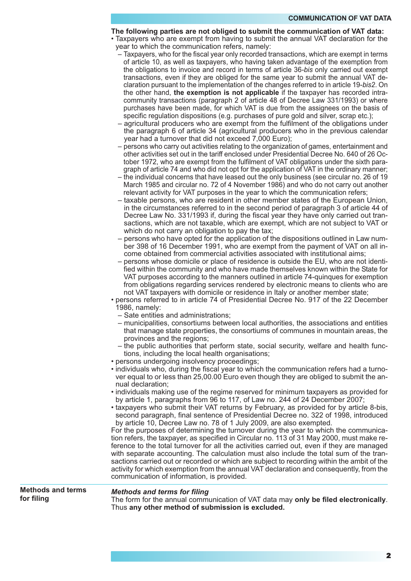## **The following parties are not obliged to submit the communication of VAT data:**

- Taxpayers who are exempt from having to submit the annual VAT declaration for the year to which the communication refers, namely:
	- Taxpayers, who for the fiscal year only recorded transactions, which are exempt in terms of article 10, as well as taxpayers, who having taken advantage of the exemption from the obligations to invoice and record in terms of article 36*-bis* only carried out exempt transactions, even if they are obliged for the same year to submit the annual VAT declaration pursuant to the implementation of the changes referred to in article 19-*bis2*. On the other hand, **the exemption is not applicable** if the taxpayer has recorded intracommunity transactions (paragraph 2 of article 48 of Decree Law 331/1993) or where purchases have been made, for which VAT is due from the assignees on the basis of specific regulation dispositions (e.g. purchases of pure gold and silver, scrap etc.);
	- agricultural producers who are exempt from the fulfilment of the obligations under the paragraph 6 of article 34 (agricultural producers who in the previous calendar year had a turnover that did not exceed 7,000 Euro);
	- persons who carry out activities relating to the organization of games, entertainment and other activities set out in the tariff enclosed under Presidential Decree No. 640 of 26 October 1972, who are exempt from the fulfilment of VAT obligations under the sixth paragraph of article 74 and who did not opt for the application of VAT in the ordinary manner;
	- the individual concerns that have leased out the only business (see circular no. 26 of 19 March 1985 and circular no. 72 of 4 November 1986) and who do not carry out another relevant activity for VAT purposes in the year to which the communication refers;
	- taxable persons, who are resident in other member states of the European Union, in the circumstances referred to in the second period of paragraph 3 of article 44 of Decree Law No. 331/1993 if, during the fiscal year they have only carried out transactions, which are not taxable, which are exempt, which are not subject to VAT or which do not carry an obligation to pay the tax;
	- persons who have opted for the application of the dispositions outlined in Law number 398 of 16 December 1991, who are exempt from the payment of VAT on all income obtained from commercial activities associated with institutional aims;
	- persons whose domicile or place of residence is outside the EU, who are not identified within the community and who have made themselves known within the State for VAT purposes according to the manners outlined in article 74-quinques for exemption from obligations regarding services rendered by electronic means to clients who are not VAT taxpayers with domicile or residence in Italy or another member state;

• persons referred to in article 74 of Presidential Decree No. 917 of the 22 December 1986, namely:

- Sate entities and administrations;
- municipalities, consortiums between local authorities, the associations and entities that manage state properties, the consortiums of communes in mountain areas, the provinces and the regions;
- the public authorities that perform state, social security, welfare and health functions, including the local health organisations;
- persons undergoing insolvency proceedings;
- individuals who, during the fiscal year to which the communication refers had a turnover equal to or less than 25,00.00 Euro even though they are obliged to submit the annual declaration;
- individuals making use of the regime reserved for minimum taxpayers as provided for by article 1, paragraphs from 96 to 117, of Law no. 244 of 24 December 2007;
- taxpayers who submit their VAT returns by February, as provided for by article 8-bis, second paragraph, final sentence of Presidential Decree no. 322 of 1998, introduced by article 10, Decree Law no. 78 of 1 July 2009, are also exempted.

For the purposes of determining the turnover during the year to which the communication refers, the taxpayer, as specified in Circular no. 113 of 31 May 2000, must make reference to the total turnover for all the activities carried out, even if they are managed with separate accounting. The calculation must also include the total sum of the transactions carried out or recorded or which are subject to recording within the ambit of the activity for which exemption from the annual VAT declaration and consequently, from the communication of information, is provided.

**Methods and terms for filing**

## *Methods and terms for filing*

The form for the annual communication of VAT data may **only be filed electronically**. Thus **any other method of submission is excluded.**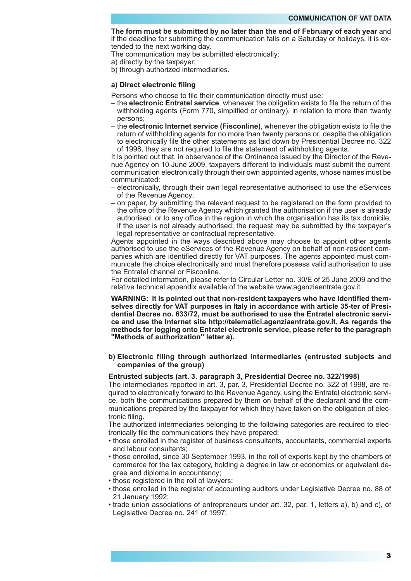**The form must be submitted by no later than the end of February of each year** and if the deadline for submitting the communication falls on a Saturday or holidays, it is extended to the next working day.

The communication may be submitted electronically:

a) directly by the taxpayer;

b) through authorized intermediaries.

## **a) Direct electronic filing**

- Persons who choose to file their communication directly must use:
- the **electronic Entratel service**, whenever the obligation exists to file the return of the withholding agents (Form 770, simplified or ordinary), in relation to more than twenty persons;
- the **electronic Internet service (Fisconline)**, whenever the obligation exists to file the return of withholding agents for no more than twenty persons or, despite the obligation to electronically file the other statements as laid down by Presidential Decree no. 322 of 1998, they are not required to file the statement of withholding agents.

It is pointed out that, in observance of the Ordinance issued by the Director of the Revenue Agency on 10 June 2009, taxpayers different to individuals must submit the current communication electronically through their own appointed agents, whose names must be communicated:

- electronically, through their own legal representative authorised to use the eServices of the Revenue Agency;
- on paper, by submitting the relevant request to be registered on the form provided to the office of the Revenue Agency which granted the authorisation if the user is already authorised, or to any office in the region in which the organisation has its tax domicile, if the user is not already authorised; the request may be submitted by the taxpayer's legal representative or contractual representative.

Agents appointed in the ways described above may choose to appoint other agents authorised to use the eServices of the Revenue Agency on behalf of non-resident companies which are identified directly for VAT purposes. The agents appointed must communicate the choice electronically and must therefore possess valid authorisation to use the Entratel channel or Fisconline.

For detailed information, please refer to Circular Letter no. 30/E of 25 June 2009 and the relative technical appendix available of the website www.agenziaentrate.gov.it.

**WARNING: it is pointed out that non-resident taxpayers who have identified themselves directly for VAT purposes in Italy in accordance with article 35-ter of Presidential Decree no. 633/72, must be authorised to use the Entratel electronic service and use the Internet site http://telematici.agenziaentrate.gov.it. As regards the methods for logging onto Entratel electronic service, please refer to the paragraph "Methods of authorization" letter a).**

# **b) Electronic filing through authorized intermediaries (entrusted subjects and companies of the group)**

#### **Entrusted subjects (art. 3. paragraph 3, Presidential Decree no. 322/1998)**

The intermediaries reported in art. 3, par. 3, Presidential Decree no. 322 of 1998, are required to electronically forward to the Revenue Agency, using the Entratel electronic service, both the communications prepared by them on behalf of the declarant and the communications prepared by the taxpayer for which they have taken on the obligation of electronic filing.

The authorized intermediaries belonging to the following categories are required to electronically file the communications they have prepared:

- those enrolled in the register of business consultants, accountants, commercial experts and labour consultants;
- those enrolled, since 30 September 1993, in the roll of experts kept by the chambers of commerce for the tax category, holding a degree in law or economics or equivalent degree and diploma in accountancy;
- those registered in the roll of lawyers;
- those enrolled in the register of accounting auditors under Legislative Decree no. 88 of 21 January 1992;
- trade union associations of entrepreneurs under art. 32, par. 1, letters a), b) and c), of Legislative Decree no. 241 of 1997;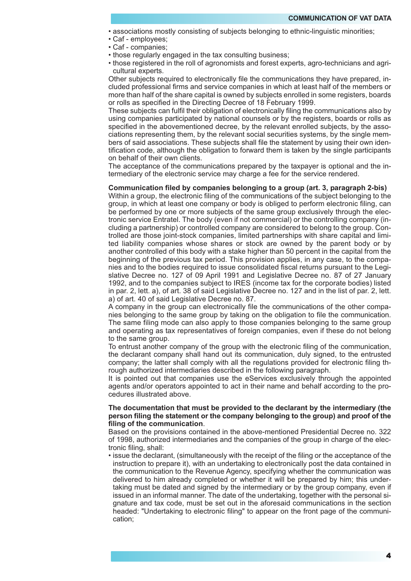- associations mostly consisting of subjects belonging to ethnic-linguistic minorities;
- Caf employees;
- Caf companies;
- those regularly engaged in the tax consulting business;
- those registered in the roll of agronomists and forest experts, agro-technicians and agricultural experts.

Other subjects required to electronically file the communications they have prepared, included professional firms and service companies in which at least half of the members or more than half of the share capital is owned by subjects enrolled in some registers, boards or rolls as specified in the Directing Decree of 18 February 1999.

These subjects can fulfil their obligation of electronically filing the communications also by using companies participated by national counsels or by the registers, boards or rolls as specified in the abovementioned decree, by the relevant enrolled subjects, by the associations representing them, by the relevant social securities systems, by the single members of said associations. These subjects shall file the statement by using their own identification code, although the obligation to forward them is taken by the single participants on behalf of their own clients.

The acceptance of the communications prepared by the taxpayer is optional and the intermediary of the electronic service may charge a fee for the service rendered.

# **Communication filed by companies belonging to a group (art. 3, paragraph 2-bis)**

Within a group, the electronic filing of the communications of the subject belonging to the group, in which at least one company or body is obliged to perform electronic filing, can be performed by one or more subjects of the same group exclusively through the electronic service Entratel. The body (even if not commercial) or the controlling company (including a partnership) or controlled company are considered to belong to the group. Controlled are those joint-stock companies, limited partnerships with share capital and limited liability companies whose shares or stock are owned by the parent body or by another controlled of this body with a stake higher than 50 percent in the capital from the beginning of the previous tax period. This provision applies, in any case, to the companies and to the bodies required to issue consolidated fiscal returns pursuant to the Legislative Decree no. 127 of 09 April 1991 and Legislative Decree no. 87 of 27 January 1992, and to the companies subject to IRES (income tax for the corporate bodies) listed in par. 2, lett. a), of art. 38 of said Legislative Decree no. 127 and in the list of par. 2, lett. a) of art. 40 of said Legislative Decree no. 87.

A company in the group can electronically file the communications of the other companies belonging to the same group by taking on the obligation to file the communication. The same filing mode can also apply to those companies belonging to the same group and operating as tax representatives of foreign companies, even if these do not belong to the same group.

To entrust another company of the group with the electronic filing of the communication, the declarant company shall hand out its communication, duly signed, to the entrusted company; the latter shall comply with all the regulations provided for electronic filing through authorized intermediaries described in the following paragraph.

It is pointed out that companies use the eServices exclusively through the appointed agents and/or operators appointed to act in their name and behalf according to the procedures illustrated above.

## **The documentation that must be provided to the declarant by the intermediary (the person filing the statement or the company belonging to the group) and proof of the filing of the communication**.

Based on the provisions contained in the above-mentioned Presidential Decree no. 322 of 1998, authorized intermediaries and the companies of the group in charge of the electronic filing, shall:

• issue the declarant, (simultaneously with the receipt of the filing or the acceptance of the instruction to prepare it), with an undertaking to electronically post the data contained in the communication to the Revenue Agency, specifying whether the communication was delivered to him already completed or whether it will be prepared by him; this undertaking must be dated and signed by the intermediary or by the group company, even if issued in an informal manner. The date of the undertaking, together with the personal signature and tax code, must be set out in the aforesaid communications in the section headed: "Undertaking to electronic filing" to appear on the front page of the communication;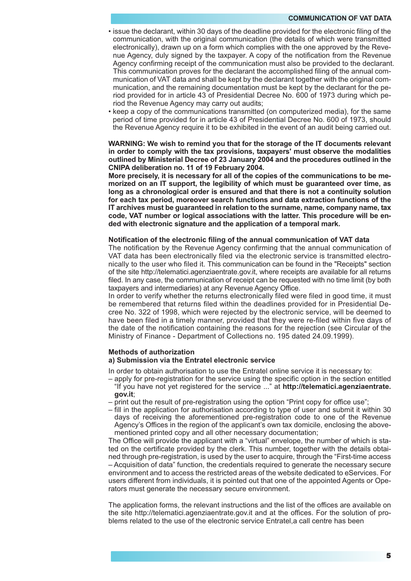- issue the declarant, within 30 days of the deadline provided for the electronic filing of the communication, with the original communication (the details of which were transmitted electronically), drawn up on a form which complies with the one approved by the Revenue Agency, duly signed by the taxpayer. A copy of the notification from the Revenue Agency confirming receipt of the communication must also be provided to the declarant. This communication proves for the declarant the accomplished filing of the annual communication of VAT data and shall be kept by the declarant together with the original communication, and the remaining documentation must be kept by the declarant for the period provided for in article 43 of Presidential Decree No. 600 of 1973 during which period the Revenue Agency may carry out audits;
- keep a copy of the communications transmitted (on computerized media), for the same period of time provided for in article 43 of Presidential Decree No. 600 of 1973, should the Revenue Agency require it to be exhibited in the event of an audit being carried out.

# **WARNING: We wish to remind you that for the storage of the IT documents relevant in order to comply with the tax provisions, taxpayers' must observe the modalities outlined by Ministerial Decree of 23 January 2004 and the procedures outlined in the CNIPA deliberation no. 11 of 19 February 2004.**

**More precisely, it is necessary for all of the copies of the communications to be memorized on an IT support, the legibility of which must be guaranteed over time, as long as a chronological order is ensured and that there is not a continuity solution for each tax period, moreover search functions and data extraction functions of the IT archives must be guaranteed in relation to the surname, name, company name, tax code, VAT number or logical associations with the latter. This procedure will be ended with electronic signature and the application of a temporal mark.** 

## **Notification of the electronic filing of the annual communication of VAT data**

The notification by the Revenue Agency confirming that the annual communication of VAT data has been electronically filed via the electronic service is transmitted electronically to the user who filed it. This communication can be found in the "Receipts" section of the site http://telematici.agenziaentrate.gov.it, where receipts are available for all returns filed. In any case, the communication of receipt can be requested with no time limit (by both taxpayers and intermediaries) at any Revenue Agency Office.

In order to verify whether the returns electronically filed were filed in good time, it must be remembered that returns filed within the deadlines provided for in Presidential Decree No. 322 of 1998, which were rejected by the electronic service, will be deemed to have been filed in a timely manner, provided that they were re-filed within five days of the date of the notification containing the reasons for the rejection (see Circular of the Ministry of Finance - Department of Collections no. 195 dated 24.09.1999).

#### **Methods of authorization**

# **a) Submission via the Entratel electronic service**

In order to obtain authorisation to use the Entratel online service it is necessary to:

- apply for pre-registration for the service using the specific option in the section entitled "If you have not yet registered for the service ..." at **http://telematici.agenziaentrate. gov.it**;
- print out the result of pre-registration using the option "Print copy for office use";
- fill in the application for authorisation according to type of user and submit it within 30 days of receiving the aforementioned pre-registration code to one of the Revenue Agency's Offices in the region of the applicant's own tax domicile, enclosing the abovementioned printed copy and all other necessary documentation;

The Office will provide the applicant with a "virtual" envelope, the number of which is stated on the certificate provided by the clerk. This number, together with the details obtained through pre-registration, is used by the user to acquire, through the "First-time access – Acquisition of data" function, the credentials required to generate the necessary secure environment and to access the restricted areas of the website dedicated to eServices. For users different from individuals, it is pointed out that one of the appointed Agents or Operators must generate the necessary secure environment.

The application forms, the relevant instructions and the list of the offices are available on the site http://telematici.agenziaentrate.gov.it and at the offices. For the solution of problems related to the use of the electronic service Entratel,a call centre has been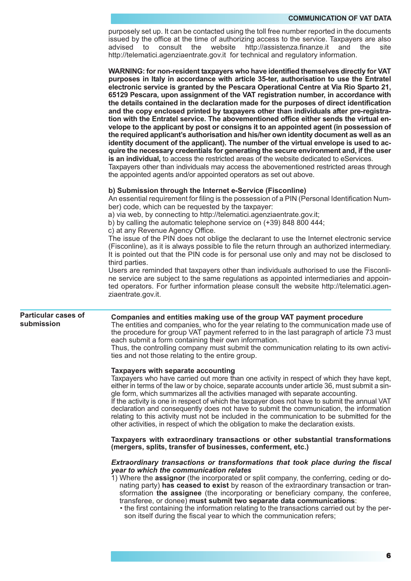purposely set up. It can be contacted using the toll free number reported in the documents issued by the office at the time of authorizing access to the service. Taxpayers are also advised to consult the website http://assistenza.finanze.it and the site http://telematici.agenziaentrate.gov.it for technical and regulatory information.

**WARNING: for non-resident taxpayers who have identified themselves directly for VAT purposes in Italy in accordance with article 35-ter, authorisation to use the Entratel electronic service is granted by the Pescara Operational Centre at Via Rio Sparto 21, 65129 Pescara, upon assignment of the VAT registration number, in accordance with the details contained in the declaration made for the purposes of direct identification and the copy enclosed printed by taxpayers other than individuals after pre-registration with the Entratel service. The abovementioned office either sends the virtual envelope to the applicant by post or consigns it to an appointed agent (in possession of the required applicant's authorisation and his/her own identity document as well as an identity document of the applicant). The number of the virtual envelope is used to acquire the necessary credentials for generating the secure environment and, if the user is an individual,** to access the restricted areas of the website dedicated to eServices.

Taxpayers other than individuals may access the abovementioned restricted areas through the appointed agents and/or appointed operators as set out above.

#### **b) Submission through the Internet e-Service (Fisconline)**

An essential requirement for filing is the possession of a PIN (Personal Identification Number) code, which can be requested by the taxpayer:

a) via web, by connecting to http://telematici.agenziaentrate.gov.it;

b) by calling the automatic telephone service on (+39) 848 800 444;

c) at any Revenue Agency Office.

The issue of the PIN does not oblige the declarant to use the Internet electronic service (Fisconline), as it is always possible to file the return through an authorized intermediary. It is pointed out that the PIN code is for personal use only and may not be disclosed to third parties.

Users are reminded that taxpayers other than individuals authorised to use the Fisconline service are subject to the same regulations as appointed intermediaries and appointed operators. For further information please consult the website http://telematici.agenziaentrate.gov.it.

## **Particular cases of submission**

# **Companies and entities making use of the group VAT payment procedure**

The entities and companies, who for the year relating to the communication made use of the procedure for group VAT payment referred to in the last paragraph of article 73 must each submit a form containing their own information.

Thus, the controlling company must submit the communication relating to its own activities and not those relating to the entire group.

#### **Taxpayers with separate accounting**

Taxpayers who have carried out more than one activity in respect of which they have kept, either in terms of the law or by choice, separate accounts under article 36, must submit a single form, which summarizes all the activities managed with separate accounting.

If the activity is one in respect of which the taxpayer does not have to submit the annual VAT declaration and consequently does not have to submit the communication, the information relating to this activity must not be included in the communication to be submitted for the other activities, in respect of which the obligation to make the declaration exists.

**Taxpayers with extraordinary transactions or other substantial transformations (mergers, splits, transfer of businesses, conferment, etc.)**

## *Extraordinary transactions or transformations that took place during the fiscal year to which the communication relates*

1) Where the **assignor** (the incorporated or split company, the conferring, ceding or donating party) **has ceased to exist** by reason of the extraordinary transaction or transformation **the assignee** (the incorporating or beneficiary company, the conferee, transferee, or donee) **must submit two separate data communications**:

• the first containing the information relating to the transactions carried out by the person itself during the fiscal year to which the communication refers;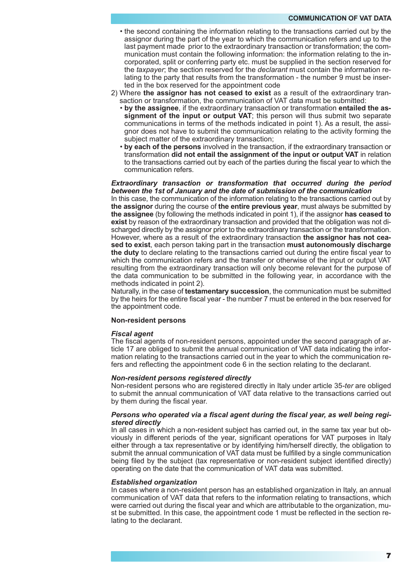- the second containing the information relating to the transactions carried out by the assignor during the part of the year to which the communication refers and up to the last payment made prior to the extraordinary transaction or transformation; the communication must contain the following information: the information relating to the incorporated, split or conferring party etc. must be supplied in the section reserved for the *taxpayer*; the section reserved for the *declarant* must contain the information relating to the party that results from the transformation - the number 9 must be inserted in the box reserved for the appointment code
- 2) Where **the assignor has not ceased to exist** as a result of the extraordinary transaction or transformation, the communication of VAT data must be submitted:
	- **by the assignee**, if the extraordinary transaction or transformation **entailed the assignment of the input or output VAT**; this person will thus submit two separate communications in terms of the methods indicated in point 1). As a result, the assignor does not have to submit the communication relating to the activity forming the subject matter of the extraordinary transaction;
	- **by each of the persons** involved in the transaction, if the extraordinary transaction or transformation **did not entail the assignment of the input or output VAT** in relation to the transactions carried out by each of the parties during the fiscal year to which the communication refers.

# *Extraordinary transaction or transformation that occurred during the period between the 1st of January and the date of submission of the communication*

In this case, the communication of the information relating to the transactions carried out by **the assignor** during the course of **the entire previous year**, must always be submitted by **the assignee** (by following the methods indicated in point 1), if the assignor **has ceased to exist** by reason of the extraordinary transaction and provided that the obligation was not discharged directly by the assignor prior to the extraordinary transaction or the transformation. However, where as a result of the extraordinary transaction **the assignor has not ceased to exist**, each person taking part in the transaction **must autonomously discharge the duty** to declare relating to the transactions carried out during the entire fiscal year to which the communication refers and the transfer or otherwise of the input or output VAT resulting from the extraordinary transaction will only become relevant for the purpose of the data communication to be submitted in the following year, in accordance with the methods indicated in point 2).

Naturally, in the case of **testamentary succession**, the communication must be submitted by the heirs for the entire fiscal year - the number 7 must be entered in the box reserved for the appointment code.

# **Non-resident persons**

#### *Fiscal agent*

The fiscal agents of non-resident persons, appointed under the second paragraph of article 17 are obliged to submit the annual communication of VAT data indicating the information relating to the transactions carried out in the year to which the communication refers and reflecting the appointment code 6 in the section relating to the declarant.

#### *Non-resident persons registered directly*

Non-resident persons who are registered directly in Italy under article 35*-ter* are obliged to submit the annual communication of VAT data relative to the transactions carried out by them during the fiscal year.

## *Persons who operated via a fiscal agent during the fiscal year, as well being registered directly*

In all cases in which a non-resident subject has carried out, in the same tax year but obviously in different periods of the year, significant operations for VAT purposes in Italy either through a tax representative or by identifying him/herself directly, the obligation to submit the annual communication of VAT data must be fulfilled by a single communication being filed by the subject (tax representative or non-resident subject identified directly) operating on the date that the communication of VAT data was submitted.

#### *Established organization*

In cases where a non-resident person has an established organization in Italy, an annual communication of VAT data that refers to the information relating to transactions, which were carried out during the fiscal year and which are attributable to the organization, must be submitted. In this case, the appointment code 1 must be reflected in the section relating to the declarant.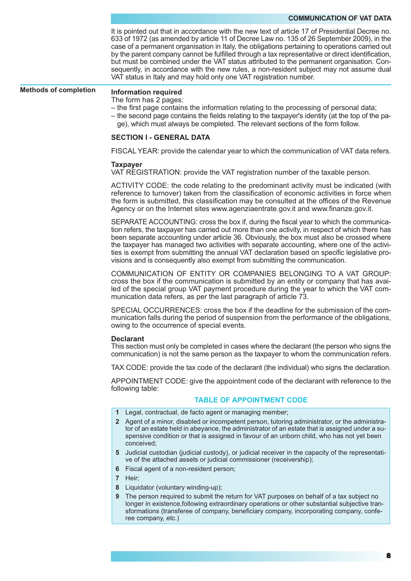It is pointed out that in accordance with the new text of article 17 of Presidential Decree no. 633 of 1972 (as amended by article 11 of Decree Law no. 135 of 26 September 2009), in the case of a permanent organisation in Italy, the obligations pertaining to operations carried out by the parent company cannot be fulfilled through a tax representative or direct identification, but must be combined under the VAT status attributed to the permanent organisation. Consequently, in accordance with the new rules, a non-resident subject may not assume dual VAT status in Italy and may hold only one VAT registration number.

**Methods of completion**

#### **Information required**

The form has 2 pages:

- the first page contains the information relating to the processing of personal data;
- the second page contains the fields relating to the taxpayer's identity (at the top of the page), which must always be completed. The relevant sections of the form follow.

## **SECTION I - GENERAL DATA**

FISCAL YEAR: provide the calendar year to which the communication of VAT data refers.

#### **Taxpayer**

VAT REGISTRATION: provide the VAT registration number of the taxable person.

ACTIVITY CODE: the code relating to the predominant activity must be indicated (with reference to turnover) taken from the classification of economic activities in force when the form is submitted, this classification may be consulted at the offices of the Revenue Agency or on the Internet sites www.agenziaentrate.gov.it and www.finanze.gov.it.

SEPARATE ACCOUNTING: cross the box if, during the fiscal year to which the communication refers, the taxpayer has carried out more than one activity, in respect of which there has been separate accounting under article 36. Obviously, the box must also be crossed where the taxpayer has managed two activities with separate accounting, where one of the activities is exempt from submitting the annual VAT declaration based on specific legislative provisions and is consequently also exempt from submitting the communication.

COMMUNICATION OF ENTITY OR COMPANIES BELONGING TO A VAT GROUP: cross the box if the communication is submitted by an entity or company that has availed of the special group VAT payment procedure during the year to which the VAT communication data refers, as per the last paragraph of article 73.

SPECIAL OCCURRENCES: cross the box if the deadline for the submission of the communication falls during the period of suspension from the performance of the obligations, owing to the occurrence of special events.

#### **Declarant**

This section must only be completed in cases where the declarant (the person who signs the communication) is not the same person as the taxpayer to whom the communication refers.

TAX CODE: provide the tax code of the declarant (the individual) who signs the declaration.

APPOINTMENT CODE: give the appointment code of the declarant with reference to the following table:

# **TABLE OF APPOINTMENT CODE**

- **1** Legal, contractual, de facto agent or managing member;
- **2** Agent of a minor, disabled or incompetent person, tutoring administrator, or the administrator of an estate held in abeyance, the administrator of an estate that is assigned under a suspensive condition or that is assigned in favour of an unborn child, who has not yet been conceived;
- **5** Judicial custodian (judicial custody), or judicial receiver in the capacity of the representative of the attached assets or judicial commissioner (receivership);
- **6** Fiscal agent of a non-resident person;
- **7** Heir;
- **8** Liquidator (voluntary winding-up);
- **9** The person required to submit the return for VAT purposes on behalf of a tax subject no longer in existence,following extraordinary operations or other substantial subjective transformations (transferee of company, beneficiary company, incorporating company, conferee company, etc.)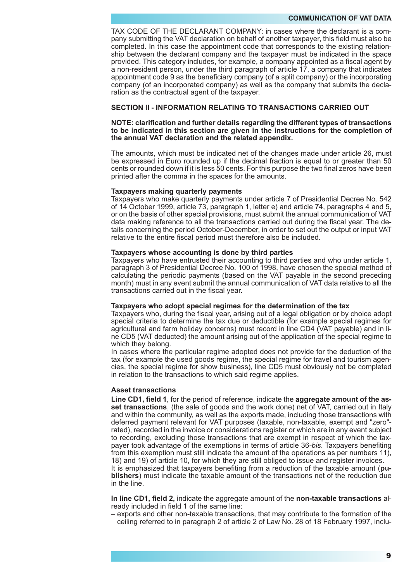TAX CODE OF THE DECLARANT COMPANY: in cases where the declarant is a company submitting the VAT declaration on behalf of another taxpayer, this field must also be completed. In this case the appointment code that corresponds to the existing relationship between the declarant company and the taxpayer must be indicated in the space provided. This category includes, for example, a company appointed as a fiscal agent by a non-resident person, under the third paragraph of article 17, a company that indicates appointment code 9 as the beneficiary company (of a split company) or the incorporating company (of an incorporated company) as well as the company that submits the declaration as the contractual agent of the taxpayer.

## **SECTION II - INFORMATION RELATING TO TRANSACTIONS CARRIED OUT**

## **NOTE: clarification and further details regarding the different types of transactions to be indicated in this section are given in the instructions for the completion of the annual VAT declaration and the related appendix.**

The amounts, which must be indicated net of the changes made under article 26, must be expressed in Euro rounded up if the decimal fraction is equal to or greater than 50 cents or rounded down if it is less 50 cents. For this purpose the two final zeros have been printed after the comma in the spaces for the amounts.

## **Taxpayers making quarterly payments**

Taxpayers who make quarterly payments under article 7 of Presidential Decree No. 542 of 14 October 1999, article 73, paragraph 1, letter e) and article 74, paragraphs 4 and 5, or on the basis of other special provisions, must submit the annual communication of VAT data making reference to all the transactions carried out during the fiscal year. The details concerning the period October-December, in order to set out the output or input VAT relative to the entire fiscal period must therefore also be included.

## **Taxpayers whose accounting is done by third parties**

Taxpayers who have entrusted their accounting to third parties and who under article 1, paragraph 3 of Presidential Decree No. 100 of 1998, have chosen the special method of calculating the periodic payments (based on the VAT payable in the second preceding month) must in any event submit the annual communication of VAT data relative to all the transactions carried out in the fiscal year.

#### **Taxpayers who adopt special regimes for the determination of the tax**

Taxpayers who, during the fiscal year, arising out of a legal obligation or by choice adopt special criteria to determine the tax due or deductible (for example special regimes for agricultural and farm holiday concerns) must record in line CD4 (VAT payable) and in line CD5 (VAT deducted) the amount arising out of the application of the special regime to which they belong.

In cases where the particular regime adopted does not provide for the deduction of the tax (for example the used goods regime, the special regime for travel and tourism agencies, the special regime for show business), line CD5 must obviously not be completed in relation to the transactions to which said regime applies.

# **Asset transactions**

**Line CD1, field 1**, for the period of reference, indicate the **aggregate amount of the asset transactions**, (the sale of goods and the work done) net of VAT, carried out in Italy and within the community, as well as the exports made, including those transactions with deferred payment relevant for VAT purposes (taxable, non-taxable, exempt and "zero" rated), recorded in the invoice or considerations register or which are in any event subject to recording, excluding those transactions that are exempt in respect of which the taxpayer took advantage of the exemptions in terms of article 36*-bis*. Taxpayers benefiting from this exemption must still indicate the amount of the operations as per numbers 11), 18) and 19) of article 10, for which they are still obliged to issue and register invoices.

It is emphasized that taxpayers benefiting from a reduction of the taxable amount (**publishers**) must indicate the taxable amount of the transactions net of the reduction due in the line.

**In line CD1, field 2,** indicate the aggregate amount of the **non-taxable transactions** already included in field 1 of the same line:

– exports and other non-taxable transactions, that may contribute to the formation of the ceiling referred to in paragraph 2 of article 2 of Law No. 28 of 18 February 1997, inclu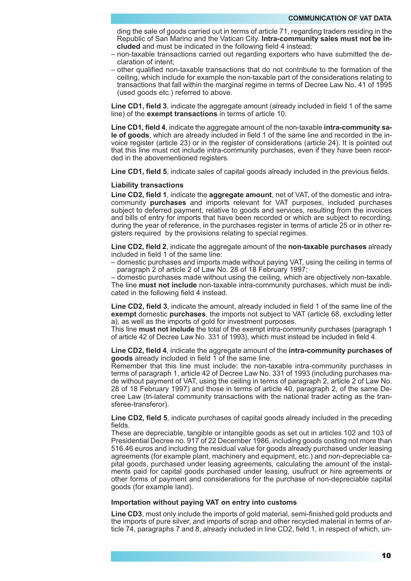ding the sale of goods carried out in terms of article 71, regarding traders residing in the Republic of San Marino and the Vatican City. **Intra-community sales must not be included** and must be indicated in the following field 4 instead;

- non-taxable transactions carried out regarding exporters who have submitted the declaration of intent;
- other qualified non-taxable transactions that do not contribute to the formation of the ceiling, which include for example the non-taxable part of the considerations relating to transactions that fall within the marginal regime in terms of Decree Law No. 41 of 1995 (used goods etc.) referred to above.

**Line CD1, field 3**, indicate the aggregate amount (already included in field 1 of the same line) of the **exempt transactions** in terms of article 10.

**Line CD1, field 4**, indicate the aggregate amount of the non-taxable **intra-community sale of goods**, which are already included in field 1 of the same line and recorded in the invoice register (article 23) or in the register of considerations (article 24). It is pointed out that this line must not include intra-community purchases, even if they have been recorded in the abovementioned registers.

**Line CD1, field 5**, indicate sales of capital goods already included in the previous fields.

#### **Liability transactions**

**Line CD2, field 1**, indicate the **aggregate amount**, net of VAT, of the domestic and intracommunity **purchases** and imports relevant for VAT purposes, included purchases subject to deferred payment, relative to goods and services, resulting from the invoices and bills of entry for imports that have been recorded or which are subject to recording, during the year of reference, in the purchases register in terms of article 25 or in other registers required by the provisions relating to special regimes.

**Line CD2, field 2**, indicate the aggregate amount of the **non-taxable purchases** already included in field 1 of the same line:

– domestic purchases and imports made without paying VAT, using the ceiling in terms of paragraph 2 of article 2 of Law No. 28 of 18 February 1997;

– domestic purchases made without using the ceiling, which are objectively non-taxable. The line **must not include** non-taxable intra-community purchases, which must be indicated in the following field 4 instead.

**Line CD2, field 3**, indicate the amount, already included in field 1 of the same line of the **exempt** domestic **purchases**, the imports not subject to VAT (article 68, excluding letter a), as well as the imports of gold for investment purposes.

This line **must not include** the total of the exempt intra-community purchases (paragraph 1 of article 42 of Decree Law No. 331 of 1993), which must instead be included in field 4.

**Line CD2, field 4**, indicate the aggregate amount of the **intra-community purchases of goods** already included in field 1 of the same line.

Remember that this line must include: the non-taxable intra-community purchases in terms of paragraph 1, article 42 of Decree Law No. 331 of 1993 (including purchases made without payment of VAT, using the ceiling in terms of paragraph 2, article 2 of Law No. 28 of 18 February 1997) and those in terms of article 40, paragraph 2, of the same Decree Law (tri-lateral community transactions with the national trader acting as the transferee-transferor).

**Line CD2, field 5**, indicate purchases of capital goods already included in the preceding fields.

These are depreciable, tangible or intangible goods as set out in articles 102 and 103 of Presidential Decree no. 917 of 22 December 1986, including goods costing not more than 516.46 euros and including the residual value for goods already purchased under leasing agreements (for example plant, machinery and equipment, etc.) and non-depreciable capital goods, purchased under leasing agreements, calculating the amount of the instalments paid for capital goods purchased under leasing, usufruct or hire agreements or other forms of payment and considerations for the purchase of non-depreciable capital goods (for example land).

#### **Importation without paying VAT on entry into customs**

**Line CD3**, must only include the imports of gold material, semi-finished gold products and the imports of pure silver, and imports of scrap and other recycled material in terms of article 74, paragraphs 7 and 8, already included in line CD2, field 1, in respect of which, un